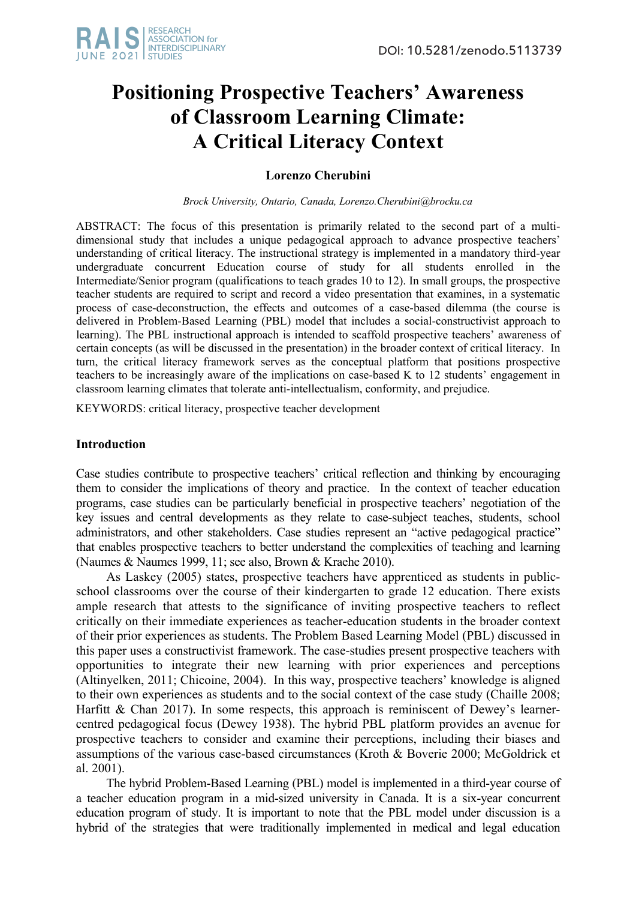# **Positioning Prospective Teachers' Awareness of Classroom Learning Climate: A Critical Literacy Context**

## **Lorenzo Cherubini**

*Brock University, Ontario, Canada, Lorenzo.Cherubini@brocku.ca*

ABSTRACT: The focus of this presentation is primarily related to the second part of a multidimensional study that includes a unique pedagogical approach to advance prospective teachers' understanding of critical literacy. The instructional strategy is implemented in a mandatory third-year undergraduate concurrent Education course of study for all students enrolled in the Intermediate/Senior program (qualifications to teach grades 10 to 12). In small groups, the prospective teacher students are required to script and record a video presentation that examines, in a systematic process of case-deconstruction, the effects and outcomes of a case-based dilemma (the course is delivered in Problem-Based Learning (PBL) model that includes a social-constructivist approach to learning). The PBL instructional approach is intended to scaffold prospective teachers' awareness of certain concepts (as will be discussed in the presentation) in the broader context of critical literacy. In turn, the critical literacy framework serves as the conceptual platform that positions prospective teachers to be increasingly aware of the implications on case-based K to 12 students' engagement in classroom learning climates that tolerate anti-intellectualism, conformity, and prejudice.

KEYWORDS: critical literacy, prospective teacher development

### **Introduction**

Case studies contribute to prospective teachers' critical reflection and thinking by encouraging them to consider the implications of theory and practice. In the context of teacher education programs, case studies can be particularly beneficial in prospective teachers' negotiation of the key issues and central developments as they relate to case-subject teaches, students, school administrators, and other stakeholders. Case studies represent an "active pedagogical practice" that enables prospective teachers to better understand the complexities of teaching and learning (Naumes & Naumes 1999, 11; see also, Brown & Kraehe 2010).

As Laskey (2005) states, prospective teachers have apprenticed as students in publicschool classrooms over the course of their kindergarten to grade 12 education. There exists ample research that attests to the significance of inviting prospective teachers to reflect critically on their immediate experiences as teacher-education students in the broader context of their prior experiences as students. The Problem Based Learning Model (PBL) discussed in this paper uses a constructivist framework. The case-studies present prospective teachers with opportunities to integrate their new learning with prior experiences and perceptions (Altinyelken, 2011; Chicoine, 2004). In this way, prospective teachers' knowledge is aligned to their own experiences as students and to the social context of the case study (Chaille 2008; Harfitt & Chan 2017). In some respects, this approach is reminiscent of Dewey's learnercentred pedagogical focus (Dewey 1938). The hybrid PBL platform provides an avenue for prospective teachers to consider and examine their perceptions, including their biases and assumptions of the various case-based circumstances (Kroth & Boverie 2000; McGoldrick et al. 2001).

The hybrid Problem-Based Learning (PBL) model is implemented in a third-year course of a teacher education program in a mid-sized university in Canada. It is a six-year concurrent education program of study. It is important to note that the PBL model under discussion is a hybrid of the strategies that were traditionally implemented in medical and legal education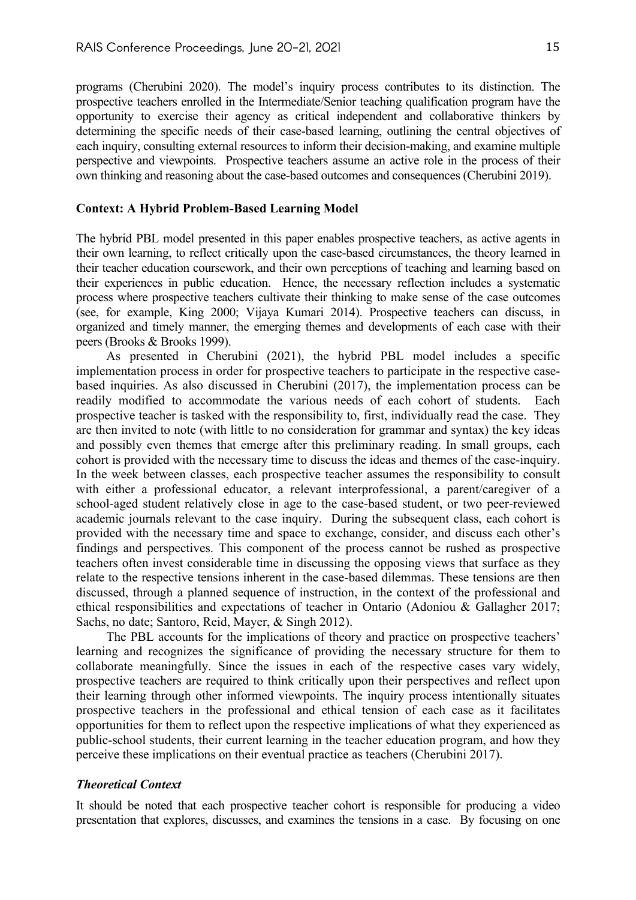programs (Cherubini 2020). The model's inquiry process contributes to its distinction. The prospective teachers enrolled in the Intermediate/Senior teaching qualification program have the opportunity to exercise their agency as critical independent and collaborative thinkers by determining the specific needs of their case-based learning, outlining the central objectives of each inquiry, consulting external resources to inform their decision-making, and examine multiple perspective and viewpoints. Prospective teachers assume an active role in the process of their own thinking and reasoning about the case-based outcomes and consequences (Cherubini 2019).

#### **Context: A Hybrid Problem-Based Learning Model**

The hybrid PBL model presented in this paper enables prospective teachers, as active agents in their own learning, to reflect critically upon the case-based circumstances, the theory learned in their teacher education coursework, and their own perceptions of teaching and learning based on their experiences in public education. Hence, the necessary reflection includes a systematic process where prospective teachers cultivate their thinking to make sense of the case outcomes (see, for example, King 2000; Vijaya Kumari 2014). Prospective teachers can discuss, in organized and timely manner, the emerging themes and developments of each case with their peers (Brooks & Brooks 1999).

As presented in Cherubini (2021), the hybrid PBL model includes a specific implementation process in order for prospective teachers to participate in the respective casebased inquiries. As also discussed in Cherubini (2017), the implementation process can be readily modified to accommodate the various needs of each cohort of students. Each prospective teacher is tasked with the responsibility to, first, individually read the case. They are then invited to note (with little to no consideration for grammar and syntax) the key ideas and possibly even themes that emerge after this preliminary reading. In small groups, each cohort is provided with the necessary time to discuss the ideas and themes of the case-inquiry. In the week between classes, each prospective teacher assumes the responsibility to consult with either a professional educator, a relevant interprofessional, a parent/caregiver of a school-aged student relatively close in age to the case-based student, or two peer-reviewed academic journals relevant to the case inquiry. During the subsequent class, each cohort is provided with the necessary time and space to exchange, consider, and discuss each other's findings and perspectives. This component of the process cannot be rushed as prospective teachers often invest considerable time in discussing the opposing views that surface as they relate to the respective tensions inherent in the case-based dilemmas. These tensions are then discussed, through a planned sequence of instruction, in the context of the professional and ethical responsibilities and expectations of teacher in Ontario (Adoniou & Gallagher 2017; Sachs, no date; Santoro, Reid, Mayer, & Singh 2012).

The PBL accounts for the implications of theory and practice on prospective teachers' learning and recognizes the significance of providing the necessary structure for them to collaborate meaningfully. Since the issues in each of the respective cases vary widely, prospective teachers are required to think critically upon their perspectives and reflect upon their learning through other informed viewpoints. The inquiry process intentionally situates prospective teachers in the professional and ethical tension of each case as it facilitates opportunities for them to reflect upon the respective implications of what they experienced as public-school students, their current learning in the teacher education program, and how they perceive these implications on their eventual practice as teachers (Cherubini 2017).

#### *Theoretical Context*

It should be noted that each prospective teacher cohort is responsible for producing a video presentation that explores, discusses, and examines the tensions in a case. By focusing on one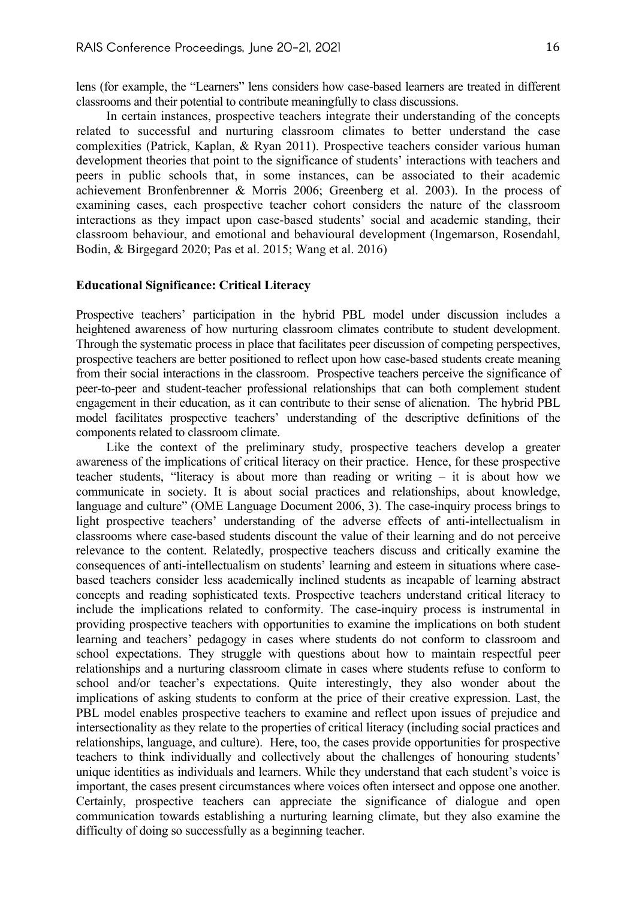lens (for example, the "Learners" lens considers how case-based learners are treated in different classrooms and their potential to contribute meaningfully to class discussions.

In certain instances, prospective teachers integrate their understanding of the concepts related to successful and nurturing classroom climates to better understand the case complexities (Patrick, Kaplan, & Ryan 2011). Prospective teachers consider various human development theories that point to the significance of students' interactions with teachers and peers in public schools that, in some instances, can be associated to their academic achievement Bronfenbrenner & Morris 2006; Greenberg et al. 2003). In the process of examining cases, each prospective teacher cohort considers the nature of the classroom interactions as they impact upon case-based students' social and academic standing, their classroom behaviour, and emotional and behavioural development (Ingemarson, Rosendahl, Bodin, & Birgegard 2020; Pas et al. 2015; Wang et al. 2016)

#### **Educational Significance: Critical Literacy**

Prospective teachers' participation in the hybrid PBL model under discussion includes a heightened awareness of how nurturing classroom climates contribute to student development. Through the systematic process in place that facilitates peer discussion of competing perspectives, prospective teachers are better positioned to reflect upon how case-based students create meaning from their social interactions in the classroom. Prospective teachers perceive the significance of peer-to-peer and student-teacher professional relationships that can both complement student engagement in their education, as it can contribute to their sense of alienation. The hybrid PBL model facilitates prospective teachers' understanding of the descriptive definitions of the components related to classroom climate.

Like the context of the preliminary study, prospective teachers develop a greater awareness of the implications of critical literacy on their practice. Hence, for these prospective teacher students, "literacy is about more than reading or writing – it is about how we communicate in society. It is about social practices and relationships, about knowledge, language and culture" (OME Language Document 2006, 3). The case-inquiry process brings to light prospective teachers' understanding of the adverse effects of anti-intellectualism in classrooms where case-based students discount the value of their learning and do not perceive relevance to the content. Relatedly, prospective teachers discuss and critically examine the consequences of anti-intellectualism on students' learning and esteem in situations where casebased teachers consider less academically inclined students as incapable of learning abstract concepts and reading sophisticated texts. Prospective teachers understand critical literacy to include the implications related to conformity. The case-inquiry process is instrumental in providing prospective teachers with opportunities to examine the implications on both student learning and teachers' pedagogy in cases where students do not conform to classroom and school expectations. They struggle with questions about how to maintain respectful peer relationships and a nurturing classroom climate in cases where students refuse to conform to school and/or teacher's expectations. Quite interestingly, they also wonder about the implications of asking students to conform at the price of their creative expression. Last, the PBL model enables prospective teachers to examine and reflect upon issues of prejudice and intersectionality as they relate to the properties of critical literacy (including social practices and relationships, language, and culture). Here, too, the cases provide opportunities for prospective teachers to think individually and collectively about the challenges of honouring students' unique identities as individuals and learners. While they understand that each student's voice is important, the cases present circumstances where voices often intersect and oppose one another. Certainly, prospective teachers can appreciate the significance of dialogue and open communication towards establishing a nurturing learning climate, but they also examine the difficulty of doing so successfully as a beginning teacher.